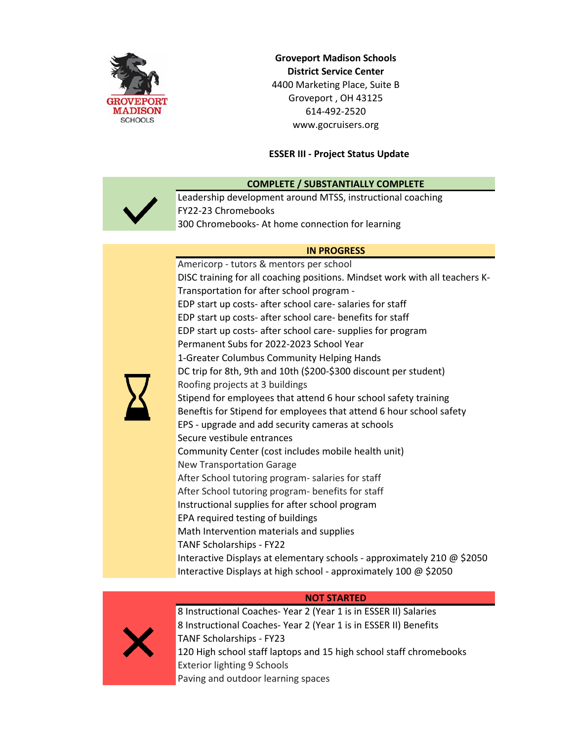

**Groveport Madison Schools District Service Center** 4400 Marketing Place, Suite B Groveport , OH 43125 614-492-2520 www.gocruisers.org

### **ESSER III - Project Status Update**



**COMPLETE / SUBSTANTIALLY COMPLETE**

Leadership development around MTSS, instructional coaching FY22-23 Chromebooks 300 Chromebooks- At home connection for learning

### **IN PROGRESS**

Americorp - tutors & mentors per school DISC training for all coaching positions. Mindset work with all teachers K-Transportation for after school program - EDP start up costs- after school care- salaries for staff EDP start up costs- after school care- benefits for staff EDP start up costs- after school care- supplies for program Permanent Subs for 2022-2023 School Year 1-Greater Columbus Community Helping Hands DC trip for 8th, 9th and 10th (\$200-\$300 discount per student) Roofing projects at 3 buildings Stipend for employees that attend 6 hour school safety training Beneftis for Stipend for employees that attend 6 hour school safety EPS - upgrade and add security cameras at schools Secure vestibule entrances Community Center (cost includes mobile health unit) New Transportation Garage After School tutoring program- salaries for staff After School tutoring program- benefits for staff Instructional supplies for after school program EPA required testing of buildings Math Intervention materials and supplies TANF Scholarships - FY22 Interactive Displays at elementary schools - approximately 210 @ \$2050 Interactive Displays at high school - approximately 100 @ \$2050

### **NOT STARTED**



8 Instructional Coaches- Year 2 (Year 1 is in ESSER II) Salaries 8 Instructional Coaches- Year 2 (Year 1 is in ESSER II) Benefits TANF Scholarships - FY23 120 High school staff laptops and 15 high school staff chromebooks Exterior lighting 9 Schools Paving and outdoor learning spaces